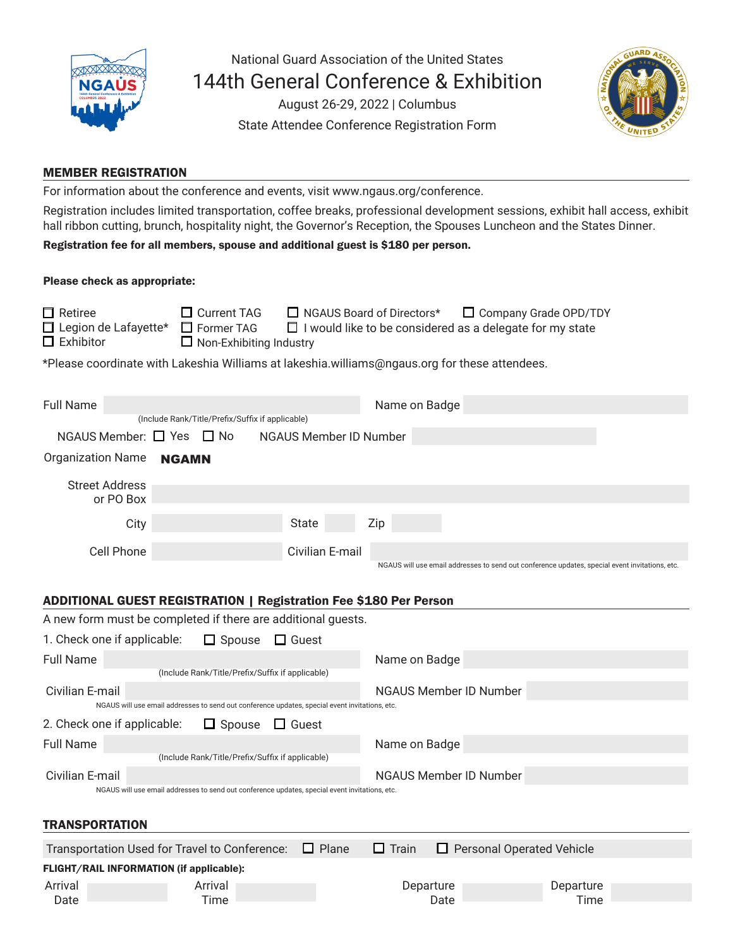

National Guard Association of the United States 144th General Conference & Exhibition

> August 26-29, 2022 | Columbus State Attendee Conference Registration Form



# MEMBER REGISTRATION

For information about the conference and events, visit www.ngaus.org/conference.

Registration includes limited transportation, coffee breaks, professional development sessions, exhibit hall access, exhibit hall ribbon cutting, brunch, hospitality night, the Governor's Reception, the Spouses Luncheon and the States Dinner.

Registration fee for all members, spouse and additional guest is \$180 per person.

#### Please check as appropriate:

| $\Box$ Retiree<br>$\Box$ Legion de Lafayette*<br>$\Box$ Exhibitor                             | $\Box$ Current TAG<br>$\Box$ Former TAG<br>$\Box$ Non-Exhibiting Industry | NGAUS Board of Directors*<br>$\Box$ I would like to be considered as a delegate for my state | Company Grade OPD/TDY |  |  |  |  |
|-----------------------------------------------------------------------------------------------|---------------------------------------------------------------------------|----------------------------------------------------------------------------------------------|-----------------------|--|--|--|--|
| *Please coordinate with Lakeshia Williams at lakeshia.williams@ngaus.org for these attendees. |                                                                           |                                                                                              |                       |  |  |  |  |

| <b>Full Name</b>                                                                                                  |                                                                                                |                               | Name on Badge                 |                                                                                                |  |  |  |  |
|-------------------------------------------------------------------------------------------------------------------|------------------------------------------------------------------------------------------------|-------------------------------|-------------------------------|------------------------------------------------------------------------------------------------|--|--|--|--|
| (Include Rank/Title/Prefix/Suffix if applicable)                                                                  |                                                                                                |                               |                               |                                                                                                |  |  |  |  |
| NGAUS Member: $\Box$ Yes $\Box$ No                                                                                |                                                                                                | <b>NGAUS Member ID Number</b> |                               |                                                                                                |  |  |  |  |
| <b>Organization Name</b>                                                                                          | NGAMN                                                                                          |                               |                               |                                                                                                |  |  |  |  |
| <b>Street Address</b><br>or PO Box                                                                                |                                                                                                |                               |                               |                                                                                                |  |  |  |  |
| City                                                                                                              |                                                                                                | <b>State</b>                  | Zip                           |                                                                                                |  |  |  |  |
| Cell Phone                                                                                                        |                                                                                                | Civilian E-mail               |                               | NGAUS will use email addresses to send out conference updates, special event invitations, etc. |  |  |  |  |
| <b>ADDITIONAL GUEST REGISTRATION   Registration Fee \$180 Per Person</b>                                          |                                                                                                |                               |                               |                                                                                                |  |  |  |  |
|                                                                                                                   | A new form must be completed if there are additional guests.                                   |                               |                               |                                                                                                |  |  |  |  |
| 1. Check one if applicable:                                                                                       | $\Box$ Spouse                                                                                  | $\Box$ Guest                  |                               |                                                                                                |  |  |  |  |
|                                                                                                                   |                                                                                                |                               |                               |                                                                                                |  |  |  |  |
| <b>Full Name</b>                                                                                                  | (Include Rank/Title/Prefix/Suffix if applicable)                                               |                               | Name on Badge                 |                                                                                                |  |  |  |  |
| Civilian E-mail                                                                                                   | NGAUS will use email addresses to send out conference updates, special event invitations, etc. |                               | <b>NGAUS Member ID Number</b> |                                                                                                |  |  |  |  |
| 2. Check one if applicable:                                                                                       | $\Box$ Spouse                                                                                  | $\Box$ Guest                  |                               |                                                                                                |  |  |  |  |
| <b>Full Name</b>                                                                                                  |                                                                                                |                               | Name on Badge                 |                                                                                                |  |  |  |  |
|                                                                                                                   | (Include Rank/Title/Prefix/Suffix if applicable)                                               |                               |                               |                                                                                                |  |  |  |  |
| Civilian E-mail                                                                                                   |                                                                                                |                               | NGAUS Member ID Number        |                                                                                                |  |  |  |  |
| NGAUS will use email addresses to send out conference updates, special event invitations, etc.                    |                                                                                                |                               |                               |                                                                                                |  |  |  |  |
|                                                                                                                   |                                                                                                |                               |                               |                                                                                                |  |  |  |  |
| <b>TRANSPORTATION</b>                                                                                             |                                                                                                |                               |                               |                                                                                                |  |  |  |  |
| $\Box$ Plane<br>$\Box$ Train<br>Transportation Used for Travel to Conference:<br>$\Box$ Personal Operated Vehicle |                                                                                                |                               |                               |                                                                                                |  |  |  |  |
| FLIGHT/RAIL INFORMATION (if applicable):                                                                          |                                                                                                |                               |                               |                                                                                                |  |  |  |  |
| Arrival                                                                                                           | Arrival                                                                                        |                               | Departure                     | Departure                                                                                      |  |  |  |  |
| Date                                                                                                              | Time                                                                                           |                               | Date                          | Time                                                                                           |  |  |  |  |